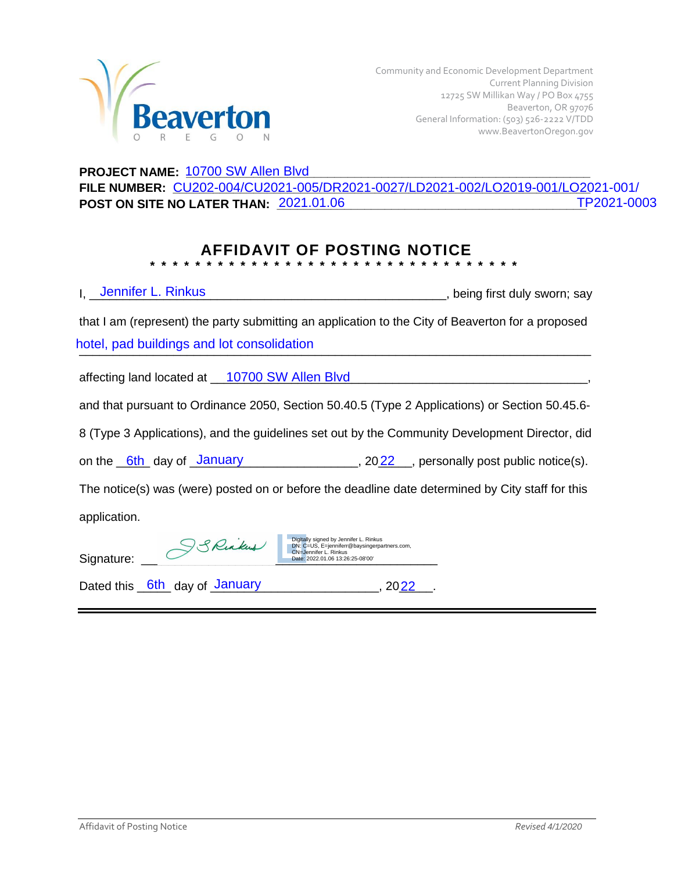

## PROJECT NAME:  $\frac{10700 \text{ SW Allen Blvd}}{2000 \text{ GW.}}$ **FILE NUMBER: \_\_\_\_\_\_\_\_\_\_\_\_\_\_\_\_\_\_\_\_\_\_\_\_\_\_\_\_\_\_\_\_\_\_\_\_\_\_\_\_\_\_\_\_\_\_\_\_\_\_\_\_\_\_\_\_\_\_\_\_\_\_** CU202-004/CU2021-005/DR2021-0027/LD2021-002/LO2019-001/LO2021-001/ POST ON SITE NO LATER THAN:  $\frac{2021.01.06}{2021.01.06}$

## **AFFIDAVIT OF POSTING NOTICE \* \* \* \* \* \* \* \* \* \* \* \* \* \* \* \* \* \* \* \* \* \* \* \* \* \* \* \* \* \* \* \* \***

| <b>Lennifer L. Rinkus</b>                                                                                                                                                     | , being first duly sworn; say |
|-------------------------------------------------------------------------------------------------------------------------------------------------------------------------------|-------------------------------|
| that I am (represent) the party submitting an application to the City of Beaverton for a proposed                                                                             |                               |
| hotel, pad buildings and lot consolidation                                                                                                                                    |                               |
| affecting land located at __10700 SW Allen Blvd                                                                                                                               |                               |
| and that pursuant to Ordinance 2050, Section 50.40.5 (Type 2 Applications) or Section 50.45.6-                                                                                |                               |
| 8 (Type 3 Applications), and the guidelines set out by the Community Development Director, did                                                                                |                               |
| on the $6th$ day of $January$ ______________, $2022$ gersonally post public notice(s).                                                                                        |                               |
| The notice(s) was (were) posted on or before the deadline date determined by City staff for this                                                                              |                               |
| application.                                                                                                                                                                  |                               |
| Digitally signed by Jennifer L. Rinkus<br>SSRinkus<br>DN: C=US, E=jenniferr@baysingerpartners.com,<br>CN=Jennifer L. Rinkus<br>Signature:<br>Date: 2022.01.06 13:26:25-08'00' |                               |
| Dated this 6th day of January<br><b>2022</b>                                                                                                                                  |                               |